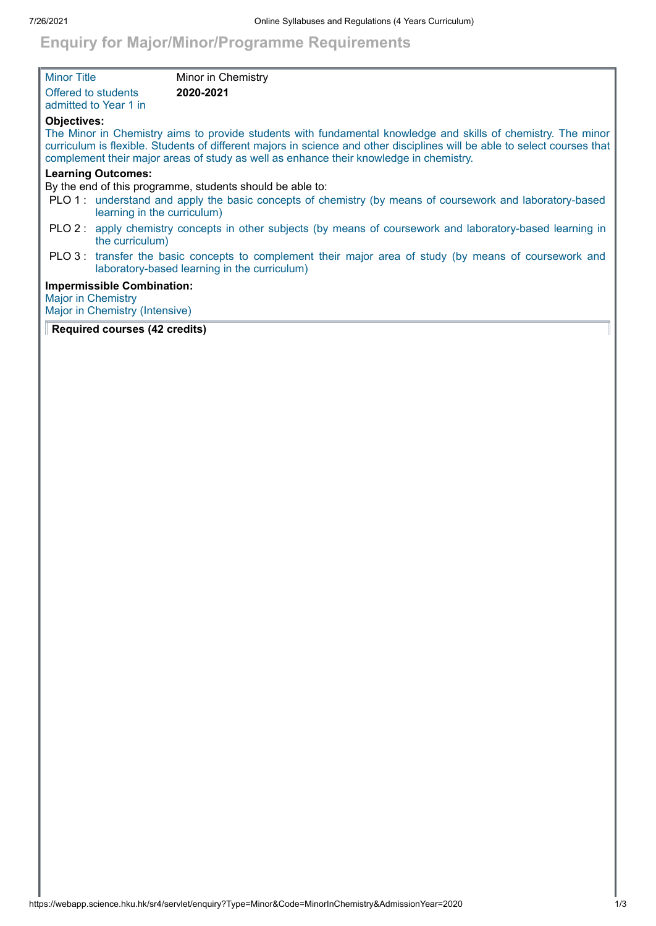## **Enquiry for Major/Minor/Programme Requirements**

| <b>Minor Title</b>                                                                     | Minor in Chemistry                                                                                                                                                                                                                                                                                                                   |  |  |
|----------------------------------------------------------------------------------------|--------------------------------------------------------------------------------------------------------------------------------------------------------------------------------------------------------------------------------------------------------------------------------------------------------------------------------------|--|--|
| Offered to students<br>admitted to Year 1 in                                           | 2020-2021                                                                                                                                                                                                                                                                                                                            |  |  |
| <b>Objectives:</b>                                                                     | The Minor in Chemistry aims to provide students with fundamental knowledge and skills of chemistry. The minor<br>curriculum is flexible. Students of different majors in science and other disciplines will be able to select courses that<br>complement their major areas of study as well as enhance their knowledge in chemistry. |  |  |
| <b>Learning Outcomes:</b><br>By the end of this programme, students should be able to: |                                                                                                                                                                                                                                                                                                                                      |  |  |
|                                                                                        | PLO 1: understand and apply the basic concepts of chemistry (by means of coursework and laboratory-based<br>learning in the curriculum)                                                                                                                                                                                              |  |  |
|                                                                                        | PLO 2: apply chemistry concepts in other subjects (by means of coursework and laboratory-based learning in<br>the curriculum)                                                                                                                                                                                                        |  |  |
|                                                                                        | PLO 3: transfer the basic concepts to complement their major area of study (by means of coursework and<br>laboratory-based learning in the curriculum)                                                                                                                                                                               |  |  |
| <b>Major in Chemistry</b>                                                              | <b>Impermissible Combination:</b><br>Major in Chemistry (Intensive)                                                                                                                                                                                                                                                                  |  |  |

## **Required courses (42 credits)**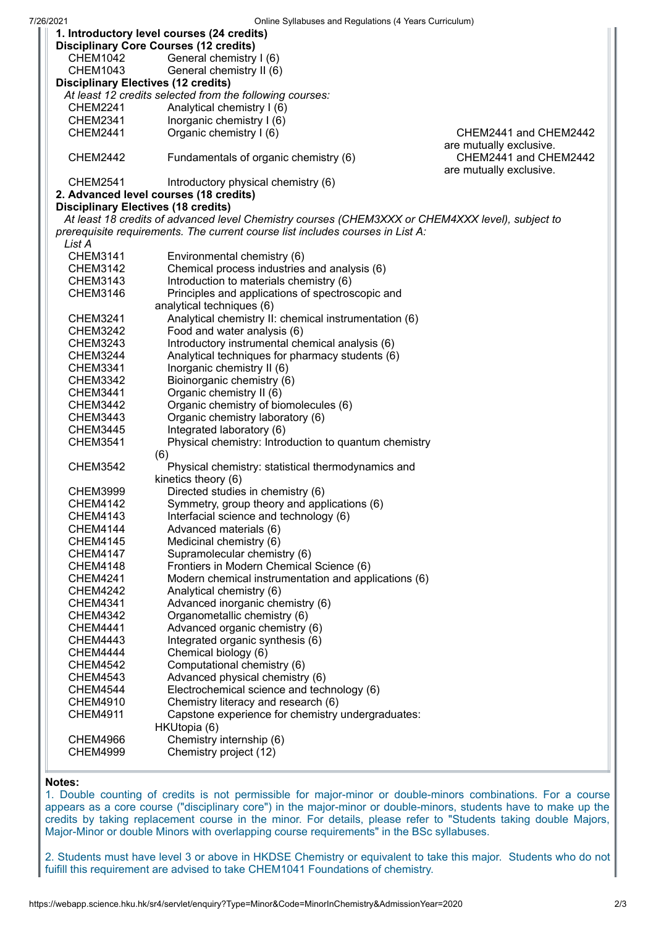| UTIME Synabuses and Regulations (4 Tears Curriculum)<br>1. Introductory level courses (24 credits) |                                                       |                                                  |  |
|----------------------------------------------------------------------------------------------------|-------------------------------------------------------|--------------------------------------------------|--|
| <b>Disciplinary Core Courses (12 credits)</b>                                                      |                                                       |                                                  |  |
| <b>CHEM1042</b>                                                                                    | General chemistry I (6)                               |                                                  |  |
| <b>CHEM1043</b>                                                                                    | General chemistry II (6)                              |                                                  |  |
| <b>Disciplinary Electives (12 credits)</b>                                                         |                                                       |                                                  |  |
| At least 12 credits selected from the following courses:                                           |                                                       |                                                  |  |
| <b>CHEM2241</b>                                                                                    | Analytical chemistry I (6)                            |                                                  |  |
| <b>CHEM2341</b>                                                                                    | Inorganic chemistry I (6)                             |                                                  |  |
| <b>CHEM2441</b>                                                                                    | Organic chemistry I (6)                               | CHEM2441 and CHEM2442                            |  |
| are mutually exclusive.                                                                            |                                                       |                                                  |  |
| <b>CHEM2442</b>                                                                                    | Fundamentals of organic chemistry (6)                 | CHEM2441 and CHEM2442<br>are mutually exclusive. |  |
| <b>CHEM2541</b>                                                                                    | Introductory physical chemistry (6)                   |                                                  |  |
| 2. Advanced level courses (18 credits)                                                             |                                                       |                                                  |  |
| <b>Disciplinary Electives (18 credits)</b>                                                         |                                                       |                                                  |  |
| At least 18 credits of advanced level Chemistry courses (CHEM3XXX or CHEM4XXX level), subject to   |                                                       |                                                  |  |
| prerequisite requirements. The current course list includes courses in List A:                     |                                                       |                                                  |  |
| List A                                                                                             |                                                       |                                                  |  |
| <b>CHEM3141</b>                                                                                    | Environmental chemistry (6)                           |                                                  |  |
| <b>CHEM3142</b>                                                                                    | Chemical process industries and analysis (6)          |                                                  |  |
| CHEM3143                                                                                           | Introduction to materials chemistry (6)               |                                                  |  |
| <b>CHEM3146</b>                                                                                    | Principles and applications of spectroscopic and      |                                                  |  |
|                                                                                                    | analytical techniques (6)                             |                                                  |  |
| <b>CHEM3241</b>                                                                                    | Analytical chemistry II: chemical instrumentation (6) |                                                  |  |
| <b>CHEM3242</b>                                                                                    | Food and water analysis (6)                           |                                                  |  |
| <b>CHEM3243</b>                                                                                    | Introductory instrumental chemical analysis (6)       |                                                  |  |
| <b>CHEM3244</b>                                                                                    | Analytical techniques for pharmacy students (6)       |                                                  |  |
| CHEM3341                                                                                           | Inorganic chemistry II (6)                            |                                                  |  |
| <b>CHEM3342</b>                                                                                    | Bioinorganic chemistry (6)                            |                                                  |  |
| <b>CHEM3441</b>                                                                                    | Organic chemistry II (6)                              |                                                  |  |
| <b>CHEM3442</b>                                                                                    | Organic chemistry of biomolecules (6)                 |                                                  |  |
| <b>CHEM3443</b>                                                                                    | Organic chemistry laboratory (6)                      |                                                  |  |
| <b>CHEM3445</b>                                                                                    | Integrated laboratory (6)                             |                                                  |  |
| <b>CHEM3541</b>                                                                                    | Physical chemistry: Introduction to quantum chemistry |                                                  |  |
| (6)                                                                                                |                                                       |                                                  |  |
| <b>CHEM3542</b>                                                                                    | Physical chemistry: statistical thermodynamics and    |                                                  |  |
|                                                                                                    | kinetics theory (6)                                   |                                                  |  |
| <b>CHEM3999</b>                                                                                    | Directed studies in chemistry (6)                     |                                                  |  |
| <b>CHEM4142</b>                                                                                    | Symmetry, group theory and applications (6)           |                                                  |  |
| <b>CHEM4143</b>                                                                                    | Interfacial science and technology (6)                |                                                  |  |
| CHEM4144                                                                                           | Advanced materials (6)                                |                                                  |  |
| <b>CHEM4145</b>                                                                                    | Medicinal chemistry (6)                               |                                                  |  |
| <b>CHEM4147</b>                                                                                    | Supramolecular chemistry (6)                          |                                                  |  |
| CHEM4148                                                                                           | Frontiers in Modern Chemical Science (6)              |                                                  |  |
| <b>CHEM4241</b>                                                                                    | Modern chemical instrumentation and applications (6)  |                                                  |  |
| <b>CHEM4242</b>                                                                                    | Analytical chemistry (6)                              |                                                  |  |
| <b>CHEM4341</b>                                                                                    | Advanced inorganic chemistry (6)                      |                                                  |  |
| <b>CHEM4342</b>                                                                                    | Organometallic chemistry (6)                          |                                                  |  |
| <b>CHEM4441</b>                                                                                    | Advanced organic chemistry (6)                        |                                                  |  |
| <b>CHEM4443</b>                                                                                    | Integrated organic synthesis (6)                      |                                                  |  |
| <b>CHEM4444</b>                                                                                    | Chemical biology (6)                                  |                                                  |  |
| <b>CHEM4542</b>                                                                                    | Computational chemistry (6)                           |                                                  |  |
| <b>CHEM4543</b>                                                                                    | Advanced physical chemistry (6)                       |                                                  |  |
| CHEM4544                                                                                           | Electrochemical science and technology (6)            |                                                  |  |
| <b>CHEM4910</b>                                                                                    | Chemistry literacy and research (6)                   |                                                  |  |
| <b>CHEM4911</b>                                                                                    | Capstone experience for chemistry undergraduates:     |                                                  |  |
|                                                                                                    | HKUtopia (6)                                          |                                                  |  |
| <b>CHEM4966</b>                                                                                    | Chemistry internship (6)                              |                                                  |  |
| <b>CHEM4999</b>                                                                                    | Chemistry project (12)                                |                                                  |  |
|                                                                                                    |                                                       |                                                  |  |

## **Notes:**

1. Double counting of credits is not permissible for major-minor or double-minors combinations. For a course appears as a core course ("disciplinary core") in the major-minor or double-minors, students have to make up the credits by taking replacement course in the minor. For details, please refer to "Students taking double Majors, Major-Minor or double Minors with overlapping course requirements" in the BSc syllabuses.

2. Students must have level 3 or above in HKDSE Chemistry or equivalent to take this major. Students who do not fuifill this requirement are advised to take CHEM1041 Foundations of chemistry.